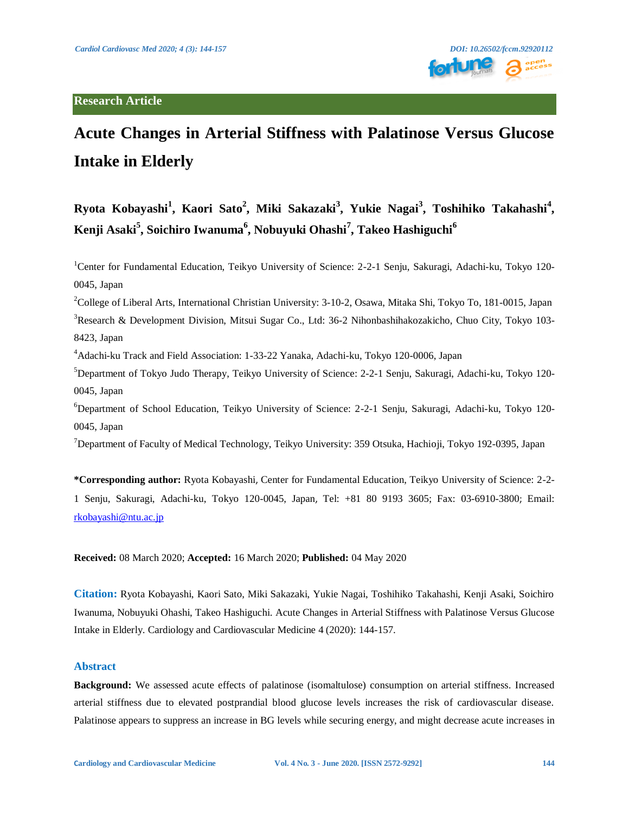

# **Acute Changes in Arterial Stiffness with Palatinose Versus Glucose Intake in Elderly**

## **Ryota Kobayashi<sup>1</sup> , Kaori Sato2 , Miki Sakazaki<sup>3</sup> , Yukie Nagai<sup>3</sup> , Toshihiko Takahashi<sup>4</sup> , Kenji Asaki<sup>5</sup> , Soichiro Iwanuma<sup>6</sup> , Nobuyuki Ohashi<sup>7</sup> , Takeo Hashiguchi<sup>6</sup>**

<sup>1</sup>Center for Fundamental Education, Teikyo University of Science: 2-2-1 Senju, Sakuragi, Adachi-ku, Tokyo 120-0045, Japan

<sup>2</sup>College of Liberal Arts, International Christian University: 3-10-2, Osawa, Mitaka Shi, Tokyo To, 181-0015, Japan <sup>3</sup>Research & Development Division, Mitsui Sugar Co., Ltd: 36-2 Nihonbashihakozakicho, Chuo City, Tokyo 103-8423, Japan

4 Adachi-ku Track and Field Association: 1-33-22 Yanaka, Adachi-ku, Tokyo 120-0006, Japan

5 Department of Tokyo Judo Therapy, Teikyo University of Science: 2-2-1 Senju, Sakuragi, Adachi-ku, Tokyo 120- 0045, Japan

6 Department of School Education, Teikyo University of Science: 2-2-1 Senju, Sakuragi, Adachi-ku, Tokyo 120- 0045, Japan

<sup>7</sup>Department of Faculty of Medical Technology, Teikyo University: 359 Otsuka, Hachioji, Tokyo 192-0395, Japan

**\*Corresponding author:** Ryota Kobayashi, Center for Fundamental Education, Teikyo University of Science: 2-2- 1 Senju, Sakuragi, Adachi-ku, Tokyo 120-0045, Japan, Tel: +81 80 9193 3605; Fax: 03-6910-3800; Email: [rkobayashi@ntu.ac.jp](mailto:rkobayashi@ntu.ac.jp) 

**Received:** 08 March 2020; **Accepted:** 16 March 2020; **Published:** 04 May 2020

**Citation:** Ryota Kobayashi, Kaori Sato, Miki Sakazaki, Yukie Nagai, Toshihiko Takahashi, Kenji Asaki, Soichiro Iwanuma, Nobuyuki Ohashi, Takeo Hashiguchi. Acute Changes in Arterial Stiffness with Palatinose Versus Glucose Intake in Elderly. Cardiology and Cardiovascular Medicine 4 (2020): 144-157.

#### **Abstract**

**Background:** We assessed acute effects of palatinose (isomaltulose) consumption on arterial stiffness. Increased arterial stiffness due to elevated postprandial blood glucose levels increases the risk of cardiovascular disease. Palatinose appears to suppress an increase in BG levels while securing energy, and might decrease acute increases in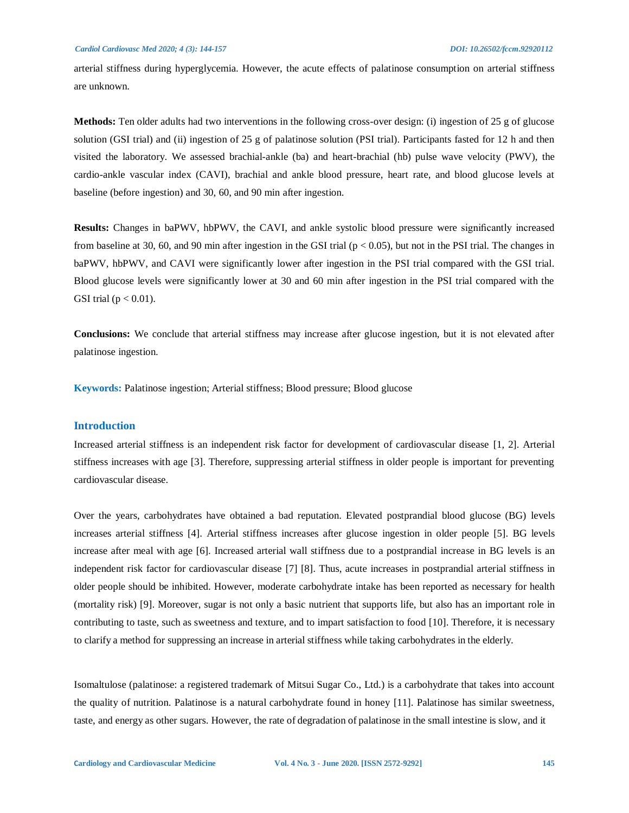arterial stiffness during hyperglycemia. However, the acute effects of palatinose consumption on arterial stiffness are unknown.

**Methods:** Ten older adults had two interventions in the following cross-over design: (i) ingestion of 25 g of glucose solution (GSI trial) and (ii) ingestion of 25 g of palatinose solution (PSI trial). Participants fasted for 12 h and then visited the laboratory. We assessed brachial-ankle (ba) and heart-brachial (hb) pulse wave velocity (PWV), the cardio-ankle vascular index (CAVI), brachial and ankle blood pressure, heart rate, and blood glucose levels at baseline (before ingestion) and 30, 60, and 90 min after ingestion.

**Results:** Changes in baPWV, hbPWV, the CAVI, and ankle systolic blood pressure were significantly increased from baseline at 30, 60, and 90 min after ingestion in the GSI trial  $(p < 0.05)$ , but not in the PSI trial. The changes in baPWV, hbPWV, and CAVI were significantly lower after ingestion in the PSI trial compared with the GSI trial. Blood glucose levels were significantly lower at 30 and 60 min after ingestion in the PSI trial compared with the GSI trial ( $p < 0.01$ ).

**Conclusions:** We conclude that arterial stiffness may increase after glucose ingestion, but it is not elevated after palatinose ingestion.

**Keywords:** Palatinose ingestion; Arterial stiffness; Blood pressure; Blood glucose

#### **Introduction**

Increased arterial stiffness is an independent risk factor for development of cardiovascular disease [1, 2]. Arterial stiffness increases with age [3]. Therefore, suppressing arterial stiffness in older people is important for preventing cardiovascular disease.

Over the years, carbohydrates have obtained a bad reputation. Elevated postprandial blood glucose (BG) levels increases arterial stiffness [4]. Arterial stiffness increases after glucose ingestion in older people [5]. BG levels increase after meal with age [6]. Increased arterial wall stiffness due to a postprandial increase in BG levels is an independent risk factor for cardiovascular disease [7] [8]. Thus, acute increases in postprandial arterial stiffness in older people should be inhibited. However, moderate carbohydrate intake has been reported as necessary for health (mortality risk) [9]. Moreover, sugar is not only a basic nutrient that supports life, but also has an important role in contributing to taste, such as sweetness and texture, and to impart satisfaction to food [10]. Therefore, it is necessary to clarify a method for suppressing an increase in arterial stiffness while taking carbohydrates in the elderly.

Isomaltulose (palatinose: a registered trademark of Mitsui Sugar Co., Ltd.) is a carbohydrate that takes into account the quality of nutrition. Palatinose is a natural carbohydrate found in honey [11]. Palatinose has similar sweetness, taste, and energy as other sugars. However, the rate of degradation of palatinose in the small intestine is slow, and it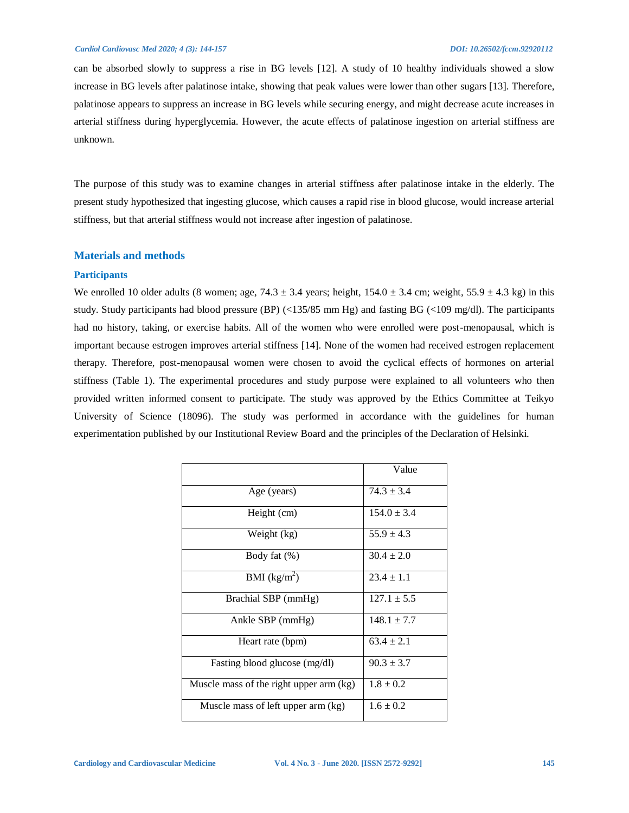can be absorbed slowly to suppress a rise in BG levels [12]. A study of 10 healthy individuals showed a slow increase in BG levels after palatinose intake, showing that peak values were lower than other sugars [13]. Therefore, palatinose appears to suppress an increase in BG levels while securing energy, and might decrease acute increases in arterial stiffness during hyperglycemia. However, the acute effects of palatinose ingestion on arterial stiffness are unknown.

The purpose of this study was to examine changes in arterial stiffness after palatinose intake in the elderly. The present study hypothesized that ingesting glucose, which causes a rapid rise in blood glucose, would increase arterial stiffness, but that arterial stiffness would not increase after ingestion of palatinose.

#### **Materials and methods**

#### **Participants**

We enrolled 10 older adults (8 women; age,  $74.3 \pm 3.4$  years; height,  $154.0 \pm 3.4$  cm; weight,  $55.9 \pm 4.3$  kg) in this study. Study participants had blood pressure (BP) (<135/85 mm Hg) and fasting BG (<109 mg/dl). The participants had no history, taking, or exercise habits. All of the women who were enrolled were post-menopausal, which is important because estrogen improves arterial stiffness [14]. None of the women had received estrogen replacement therapy. Therefore, post-menopausal women were chosen to avoid the cyclical effects of hormones on arterial stiffness (Table 1). The experimental procedures and study purpose were explained to all volunteers who then provided written informed consent to participate. The study was approved by the Ethics Committee at Teikyo University of Science (18096). The study was performed in accordance with the guidelines for human experimentation published by our Institutional Review Board and the principles of the Declaration of Helsinki.

|                                         | Value           |
|-----------------------------------------|-----------------|
| Age (years)                             | $74.3 \pm 3.4$  |
| Height (cm)                             | $154.0 \pm 3.4$ |
| Weight (kg)                             | $55.9 \pm 4.3$  |
| Body fat $(\%)$                         | $30.4 \pm 2.0$  |
| BMI $(kg/m^2)$                          | $23.4 \pm 1.1$  |
| Brachial SBP (mmHg)                     | $127.1 \pm 5.5$ |
| Ankle SBP $(mmHg)$                      | $148.1 \pm 7.7$ |
| Heart rate (bpm)                        | $63.4 \pm 2.1$  |
| Fasting blood glucose (mg/dl)           | $90.3 \pm 3.7$  |
| Muscle mass of the right upper arm (kg) | $1.8 \pm 0.2$   |
| Muscle mass of left upper arm (kg)      | $1.6 \pm 0.2$   |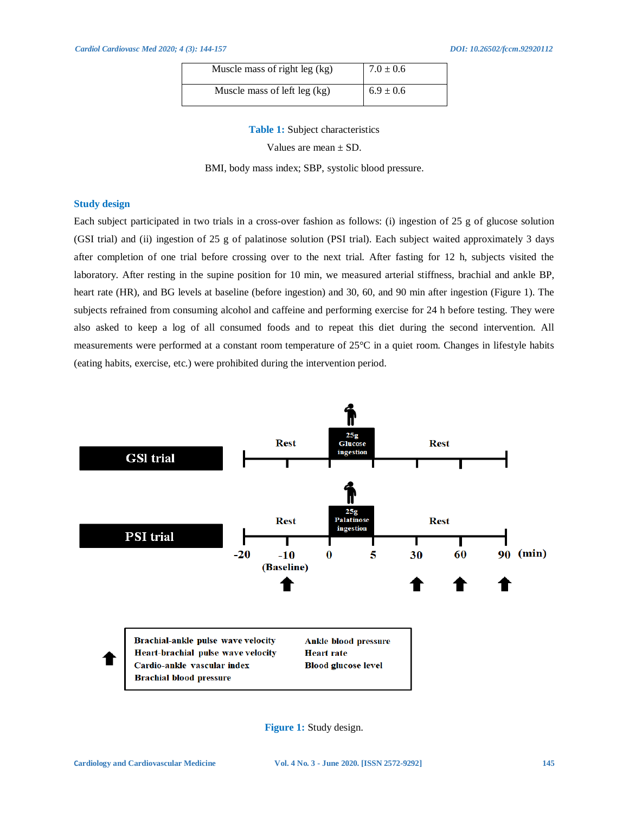| Muscle mass of right leg (kg) | $7.0 \pm 0.6$ |
|-------------------------------|---------------|
| Muscle mass of left leg (kg)  | $6.9 \pm 0.6$ |

**Table 1:** Subject characteristics

Values are mean ± SD.

BMI, body mass index; SBP, systolic blood pressure.

#### **Study design**

Each subject participated in two trials in a cross-over fashion as follows: (i) ingestion of 25 g of glucose solution (GSI trial) and (ii) ingestion of 25 g of palatinose solution (PSI trial). Each subject waited approximately 3 days after completion of one trial before crossing over to the next trial. After fasting for 12 h, subjects visited the laboratory. After resting in the supine position for 10 min, we measured arterial stiffness, brachial and ankle BP, heart rate (HR), and BG levels at baseline (before ingestion) and 30, 60, and 90 min after ingestion (Figure 1). The subjects refrained from consuming alcohol and caffeine and performing exercise for 24 h before testing. They were also asked to keep a log of all consumed foods and to repeat this diet during the second intervention. All measurements were performed at a constant room temperature of 25°C in a quiet room. Changes in lifestyle habits (eating habits, exercise, etc.) were prohibited during the intervention period.



**Figure 1:** Study design.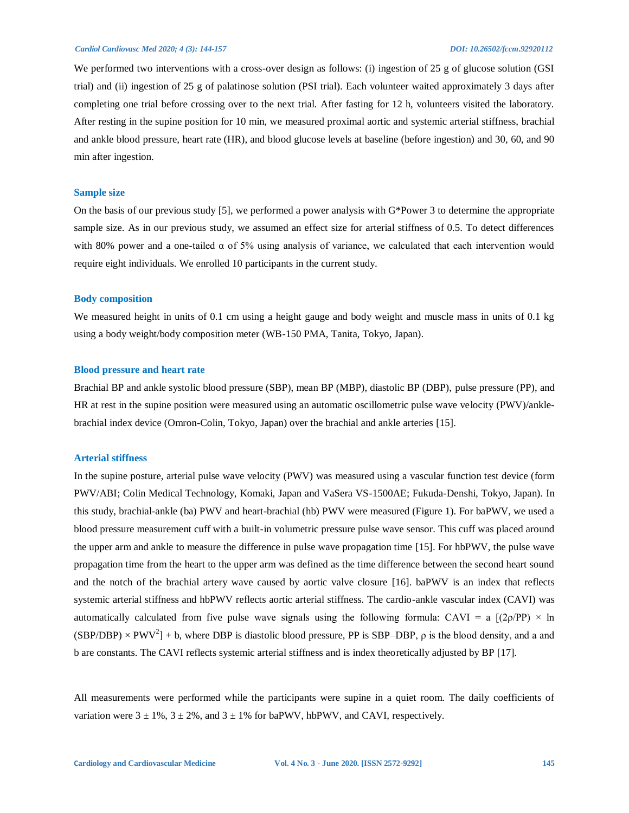We performed two interventions with a cross-over design as follows: (i) ingestion of 25 g of glucose solution (GSI trial) and (ii) ingestion of 25 g of palatinose solution (PSI trial). Each volunteer waited approximately 3 days after completing one trial before crossing over to the next trial. After fasting for 12 h, volunteers visited the laboratory. After resting in the supine position for 10 min, we measured proximal aortic and systemic arterial stiffness, brachial and ankle blood pressure, heart rate (HR), and blood glucose levels at baseline (before ingestion) and 30, 60, and 90 min after ingestion.

#### **Sample size**

On the basis of our previous study [5], we performed a power analysis with G\*Power 3 to determine the appropriate sample size. As in our previous study, we assumed an effect size for arterial stiffness of 0.5. To detect differences with 80% power and a one-tailed α of 5% using analysis of variance, we calculated that each intervention would require eight individuals. We enrolled 10 participants in the current study.

#### **Body composition**

We measured height in units of 0.1 cm using a height gauge and body weight and muscle mass in units of 0.1 kg using a body weight/body composition meter (WB-150 PMA, Tanita, Tokyo, Japan).

#### **Blood pressure and heart rate**

Brachial BP and ankle systolic blood pressure (SBP), mean BP (MBP), diastolic BP (DBP), pulse pressure (PP), and HR at rest in the supine position were measured using an automatic oscillometric pulse wave velocity (PWV)/anklebrachial index device (Omron-Colin, Tokyo, Japan) over the brachial and ankle arteries [15].

#### **Arterial stiffness**

In the supine posture, arterial pulse wave velocity (PWV) was measured using a vascular function test device (form PWV/ABI; Colin Medical Technology, Komaki, Japan and VaSera VS-1500AE; Fukuda-Denshi, Tokyo, Japan). In this study, brachial-ankle (ba) PWV and heart-brachial (hb) PWV were measured (Figure 1). For baPWV, we used a blood pressure measurement cuff with a built-in volumetric pressure pulse wave sensor. This cuff was placed around the upper arm and ankle to measure the difference in pulse wave propagation time [15]. For hbPWV, the pulse wave propagation time from the heart to the upper arm was defined as the time difference between the second heart sound and the notch of the brachial artery wave caused by aortic valve closure [16]. baPWV is an index that reflects systemic arterial stiffness and hbPWV reflects aortic arterial stiffness. The cardio-ankle vascular index (CAVI) was automatically calculated from five pulse wave signals using the following formula: CAVI = a  $[(2\rho/PP) \times \ln$  $(SBP/DBP) \times PWV^2$  + b, where DBP is diastolic blood pressure, PP is SBP–DBP,  $\rho$  is the blood density, and a and b are constants. The CAVI reflects systemic arterial stiffness and is index theoretically adjusted by BP [17].

All measurements were performed while the participants were supine in a quiet room. The daily coefficients of variation were  $3 \pm 1\%$ ,  $3 \pm 2\%$ , and  $3 \pm 1\%$  for baPWV, hbPWV, and CAVI, respectively.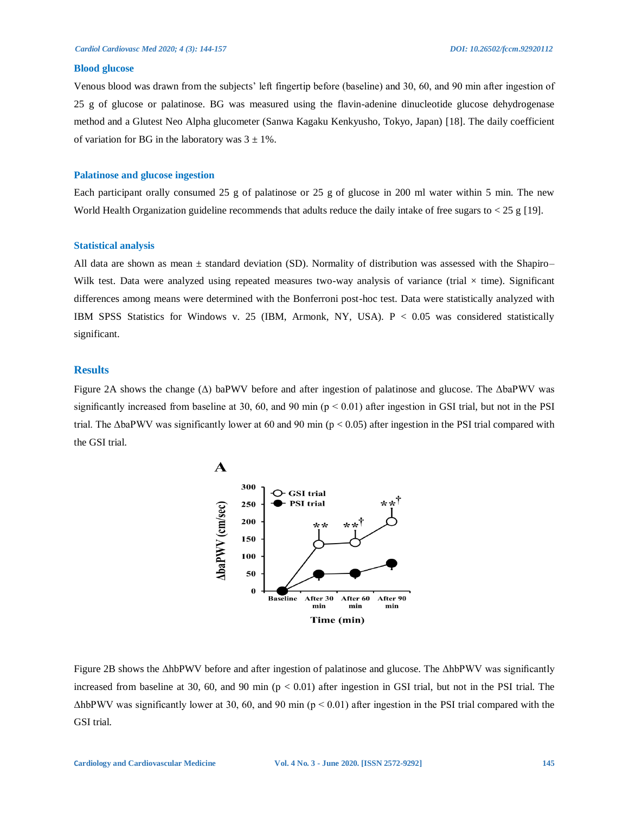#### **Blood glucose**

Venous blood was drawn from the subjects' left fingertip before (baseline) and 30, 60, and 90 min after ingestion of 25 g of glucose or palatinose. BG was measured using the flavin-adenine dinucleotide glucose dehydrogenase method and a Glutest Neo Alpha glucometer (Sanwa Kagaku Kenkyusho, Tokyo, Japan) [18]. The daily coefficient of variation for BG in the laboratory was  $3 \pm 1\%$ .

#### **Palatinose and glucose ingestion**

Each participant orally consumed 25 g of palatinose or 25 g of glucose in 200 ml water within 5 min. The new World Health Organization guideline recommends that adults reduce the daily intake of free sugars to  $<$  25 g [19].

#### **Statistical analysis**

All data are shown as mean ± standard deviation (SD). Normality of distribution was assessed with the Shapiro– Wilk test. Data were analyzed using repeated measures two-way analysis of variance (trial  $\times$  time). Significant differences among means were determined with the Bonferroni post-hoc test. Data were statistically analyzed with IBM SPSS Statistics for Windows v. 25 (IBM, Armonk, NY, USA). P < 0.05 was considered statistically significant.

#### **Results**

Figure 2A shows the change (Δ) baPWV before and after ingestion of palatinose and glucose. The ΔbaPWV was significantly increased from baseline at 30, 60, and 90 min ( $p < 0.01$ ) after ingestion in GSI trial, but not in the PSI trial. The  $\Delta$ baPWV was significantly lower at 60 and 90 min (p < 0.05) after ingestion in the PSI trial compared with the GSI trial.



Figure 2B shows the ΔhbPWV before and after ingestion of palatinose and glucose. The ΔhbPWV was significantly increased from baseline at 30, 60, and 90 min  $(p < 0.01)$  after ingestion in GSI trial, but not in the PSI trial. The  $\Delta$ hbPWV was significantly lower at 30, 60, and 90 min (p < 0.01) after ingestion in the PSI trial compared with the GSI trial.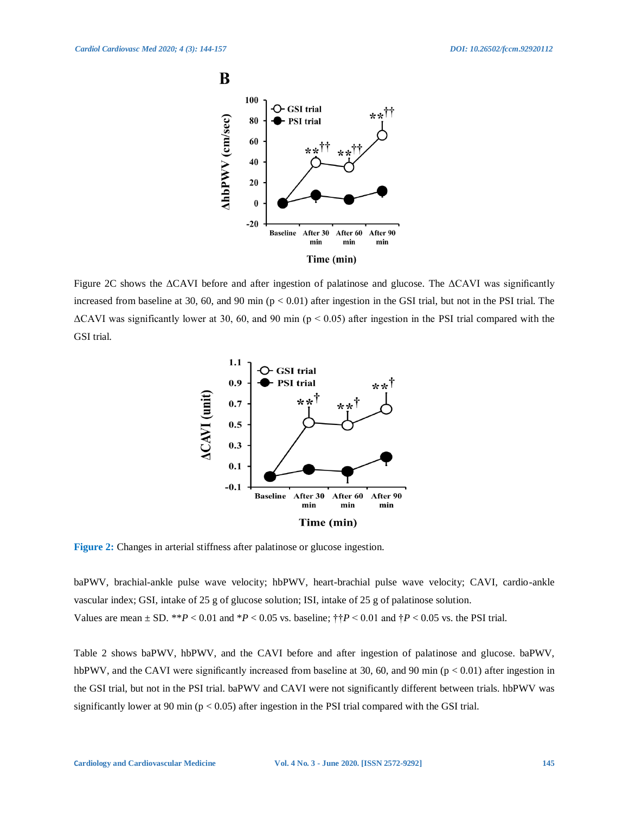

Figure 2C shows the ΔCAVI before and after ingestion of palatinose and glucose. The ΔCAVI was significantly increased from baseline at 30, 60, and 90 min  $(p < 0.01)$  after ingestion in the GSI trial, but not in the PSI trial. The  $\Delta$ CAVI was significantly lower at 30, 60, and 90 min (p < 0.05) after ingestion in the PSI trial compared with the GSI trial.



**Figure 2:** Changes in arterial stiffness after palatinose or glucose ingestion.

baPWV, brachial-ankle pulse wave velocity; hbPWV, heart-brachial pulse wave velocity; CAVI, cardio-ankle vascular index; GSI, intake of 25 g of glucose solution; ISI, intake of 25 g of palatinose solution. Values are mean  $\pm$  SD. \*\**P* < 0.01 and \**P* < 0.05 vs. baseline;  $\dagger \dagger P$  < 0.01 and  $\dagger P$  < 0.05 vs. the PSI trial.

Table 2 shows baPWV, hbPWV, and the CAVI before and after ingestion of palatinose and glucose. baPWV, hbPWV, and the CAVI were significantly increased from baseline at 30, 60, and 90 min ( $p < 0.01$ ) after ingestion in the GSI trial, but not in the PSI trial. baPWV and CAVI were not significantly different between trials. hbPWV was significantly lower at 90 min ( $p < 0.05$ ) after ingestion in the PSI trial compared with the GSI trial.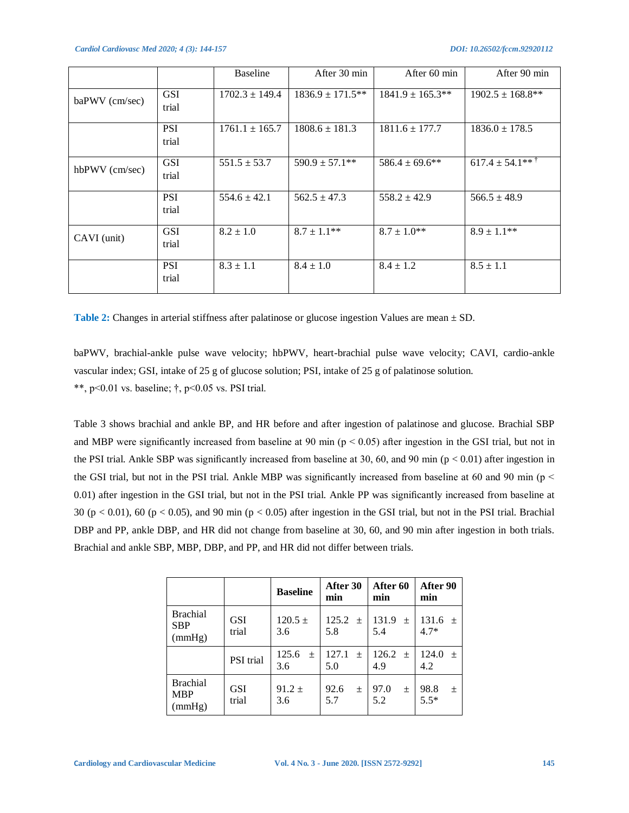*Cardiol Cardiovasc Med 2020; 4 (3): 144-157 DOI: 10.26502/fccm.92920112*

|                |                     | Baseline           | After 30 min          | After 60 min          | After 90 min          |
|----------------|---------------------|--------------------|-----------------------|-----------------------|-----------------------|
| baPWV (cm/sec) | <b>GSI</b><br>trial | $1702.3 \pm 149.4$ | $1836.9 \pm 171.5***$ | $1841.9 \pm 165.3$ ** | $1902.5 \pm 168.8$ ** |
|                | <b>PSI</b><br>trial | $1761.1 \pm 165.7$ | $1808.6 \pm 181.3$    | $1811.6 \pm 177.7$    | $1836.0 \pm 178.5$    |
| hbPWV (cm/sec) | <b>GSI</b><br>trial | $551.5 \pm 53.7$   | $590.9 \pm 57.1**$    | $586.4 \pm 69.6$ **   | $617.4 \pm 54.1***$   |
|                | <b>PSI</b><br>trial | $554.6 \pm 42.1$   | $562.5 \pm 47.3$      | $558.2 \pm 42.9$      | $566.5 \pm 48.9$      |
| CAVI (unit)    | <b>GSI</b><br>trial | $8.2 \pm 1.0$      | $8.7 \pm 1.1$ **      | $8.7 \pm 1.0^{**}$    | $8.9 \pm 1.1$ **      |
|                | <b>PSI</b><br>trial | $8.3 \pm 1.1$      | $8.4 \pm 1.0$         | $8.4 \pm 1.2$         | $8.5 \pm 1.1$         |

**Table 2:** Changes in arterial stiffness after palatinose or glucose ingestion Values are mean ± SD.

baPWV, brachial-ankle pulse wave velocity; hbPWV, heart-brachial pulse wave velocity; CAVI, cardio-ankle vascular index; GSI, intake of 25 g of glucose solution; PSI, intake of 25 g of palatinose solution.

\*\*, p<0.01 vs. baseline;  $\dagger$ , p<0.05 vs. PSI trial.

Table 3 shows brachial and ankle BP, and HR before and after ingestion of palatinose and glucose. Brachial SBP and MBP were significantly increased from baseline at 90 min ( $p < 0.05$ ) after ingestion in the GSI trial, but not in the PSI trial. Ankle SBP was significantly increased from baseline at 30, 60, and 90 min ( $p < 0.01$ ) after ingestion in the GSI trial, but not in the PSI trial. Ankle MBP was significantly increased from baseline at 60 and 90 min ( $p <$ 0.01) after ingestion in the GSI trial, but not in the PSI trial. Ankle PP was significantly increased from baseline at 30 (p  $< 0.01$ ), 60 (p  $< 0.05$ ), and 90 min (p  $< 0.05$ ) after ingestion in the GSI trial, but not in the PSI trial. Brachial DBP and PP, ankle DBP, and HR did not change from baseline at 30, 60, and 90 min after ingestion in both trials. Brachial and ankle SBP, MBP, DBP, and PP, and HR did not differ between trials.

|                                         |                     | <b>Baseline</b>       | After 30<br>min       | After 60<br>min     | After 90<br>min        |
|-----------------------------------------|---------------------|-----------------------|-----------------------|---------------------|------------------------|
| <b>Brachial</b><br><b>SBP</b><br>(mmHg) | <b>GSI</b><br>trial | $120.5 \pm$<br>3.6    | 125.2<br>$+$<br>5.8   | 131.9<br>$+$<br>5.4 | 131.6<br>$+$<br>$4.7*$ |
|                                         | <b>PSI</b> trial    | 125.6<br>$\pm$<br>3.6 | 127.1<br>$\pm$<br>5.0 | 126.2<br>$+$<br>4.9 | 124.0<br>$\pm$<br>4.2  |
| <b>Brachial</b><br><b>MBP</b><br>(mmHg) | <b>GSI</b><br>trial | $91.2 \pm$<br>3.6     | 92.6<br>$\pm$<br>5.7  | 97.0<br>土<br>5.2    | 98.8<br>土<br>$5.5*$    |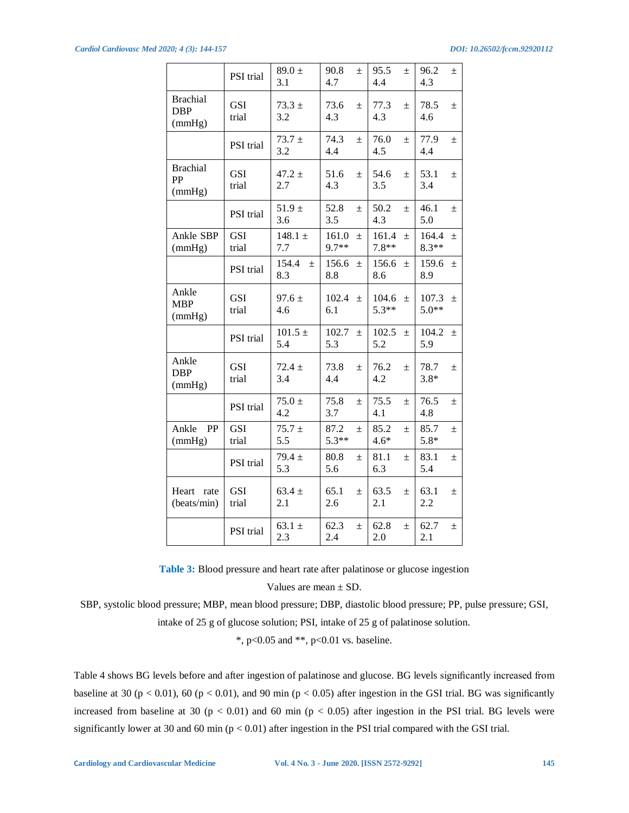|                                         | PSI trial           | $89.0 \pm$<br>3.1     | 90.8<br>$\pm$<br>4.7      | 95.5<br>$\pm$<br>4.4      | 96.2<br>$\pm$<br>4.3      |
|-----------------------------------------|---------------------|-----------------------|---------------------------|---------------------------|---------------------------|
| <b>Brachial</b><br><b>DBP</b><br>(mmHg) | <b>GSI</b><br>trial | $73.3 \pm$<br>3.2     | 73.6<br>$\pm$<br>4.3      | 77.3<br>$+$<br>4.3        | 78.5<br>$\pm$<br>4.6      |
|                                         | PSI trial           | $73.7 \pm$<br>3.2     | 74.3<br>$\pm$<br>4.4      | 76.0<br>$\pm$<br>4.5      | 77.9<br>$\pm$<br>4.4      |
| <b>Brachial</b><br>PP<br>(mmHg)         | <b>GSI</b><br>trial | $47.2 \pm$<br>2.7     | 51.6<br>$\pm$<br>4.3      | 54.6<br>$\pm$<br>3.5      | 53.1<br>$\pm$<br>3.4      |
|                                         | PSI trial           | $51.9 \pm$<br>3.6     | 52.8<br>$+$<br>3.5        | 50.2<br>$+$<br>4.3        | 46.1<br>$+$<br>5.0        |
| Ankle SBP<br>(mmHg)                     | <b>GSI</b><br>trial | 148.1 $\pm$<br>7.7    | 161.0<br>$\pm$<br>$9.7**$ | 161.4<br>$\pm$<br>$7.8**$ | 164.4<br>$\pm$<br>$8.3**$ |
|                                         | PSI trial           | 154.4<br>$\pm$<br>8.3 | 156.6<br>$\pm$<br>8.8     | 156.6<br>士<br>8.6         | 159.6<br>$\pm$<br>8.9     |
| Ankle<br><b>MBP</b><br>(mmHg)           | <b>GSI</b><br>trial | $97.6 \pm$<br>4.6     | 102.4<br>$\pm$<br>6.1     | 104.6<br>$\pm$<br>$5.3**$ | 107.3<br>$\pm$<br>$5.0**$ |
|                                         | PSI trial           | $101.5 \pm$<br>5.4    | 102.7<br>$\pm$<br>5.3     | 102.5<br>$\pm$<br>5.2     | 104.2<br>$\pm$<br>5.9     |
| Ankle<br><b>DBP</b><br>(mmHg)           | <b>GSI</b><br>trial | $72.4 \pm$<br>3.4     | 73.8<br>$\pm$<br>4.4      | 76.2<br>土<br>4.2          | 78.7<br>$\pm$<br>$3.8*$   |
|                                         | PSI trial           | $75.0 \pm$<br>4.2     | 75.8<br>$\pm$<br>3.7      | 75.5<br>$\pm$<br>4.1      | 76.5<br>$\pm$<br>4.8      |
| Ankle<br>PP<br>(mmHg)                   | <b>GSI</b><br>trial | $75.7 \pm$<br>5.5     | 87.2<br>$\pm$<br>$5.3**$  | 85.2<br>$\pm$<br>$4.6*$   | 85.7<br>$\pm$<br>$5.8*$   |
|                                         | PSI trial           | $79.4 \pm$<br>5.3     | 80.8<br>$\pm$<br>5.6      | 81.1<br>$\pm$<br>6.3      | 83.1<br>$\pm$<br>5.4      |
| Heart<br>rate<br>(beats/min)            | <b>GSI</b><br>trial | $63.4 \pm$<br>2.1     | 65.1<br>$\pm$<br>2.6      | 63.5<br>土<br>2.1          | 63.1<br>$\pm$<br>2.2      |
|                                         | PSI trial           | $63.1 \pm$<br>2.3     | 62.3<br>土<br>2.4          | 62.8<br>土<br>2.0          | 62.7<br>$\pm$<br>2.1      |

**Table 3:** Blood pressure and heart rate after palatinose or glucose ingestion

Values are mean ± SD.

SBP, systolic blood pressure; MBP, mean blood pressure; DBP, diastolic blood pressure; PP, pulse pressure; GSI, intake of 25 g of glucose solution; PSI, intake of 25 g of palatinose solution.

\*, p<0.05 and \*\*, p<0.01 vs. baseline.

Table 4 shows BG levels before and after ingestion of palatinose and glucose. BG levels significantly increased from baseline at 30 ( $p < 0.01$ ), 60 ( $p < 0.01$ ), and 90 min ( $p < 0.05$ ) after ingestion in the GSI trial. BG was significantly increased from baseline at 30 ( $p < 0.01$ ) and 60 min ( $p < 0.05$ ) after ingestion in the PSI trial. BG levels were significantly lower at 30 and 60 min ( $p < 0.01$ ) after ingestion in the PSI trial compared with the GSI trial.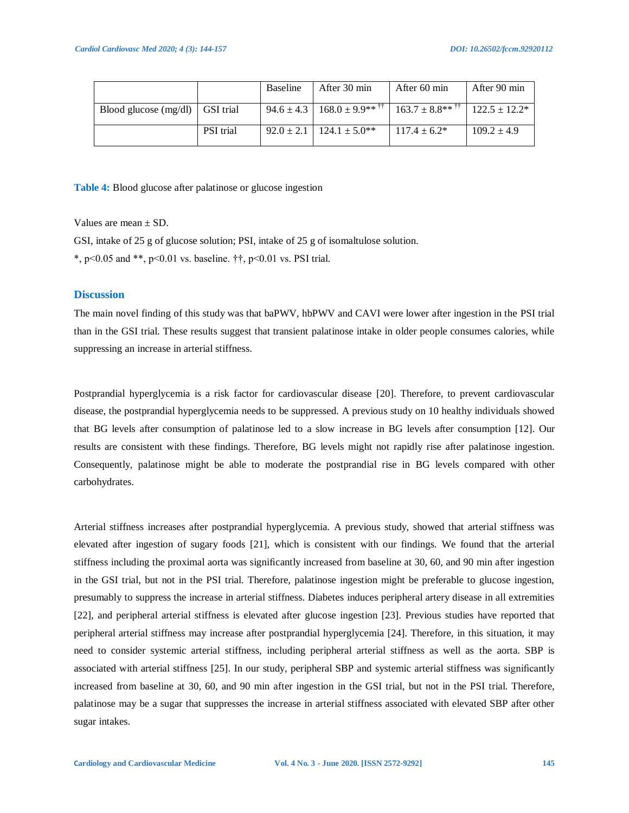|                                   |                  | Baseline | After 30 min                                                                                          | After 60 min      | After 90 min    |
|-----------------------------------|------------------|----------|-------------------------------------------------------------------------------------------------------|-------------------|-----------------|
| Blood glucose $(mg/dl)$ GSI trial |                  |          | 94.6 ± 4.3   168.0 ± 9.9** $\frac{1}{1}$   $\frac{1}{163.7 \pm 8.8}$ ** $\frac{1}{1}$   122.5 ± 12.2* |                   |                 |
|                                   | <b>PSI</b> trial |          | $92.0 \pm 2.1$   124.1 $\pm$ 5.0 <sup>**</sup>                                                        | $117.4 \pm 6.2^*$ | $109.2 \pm 4.9$ |

**Table 4:** Blood glucose after palatinose or glucose ingestion

Values are mean  $+$  SD.

GSI, intake of 25 g of glucose solution; PSI, intake of 25 g of isomaltulose solution.

\*, p<0.05 and \*\*, p<0.01 vs. baseline.  $\dagger \dagger$ , p<0.01 vs. PSI trial.

#### **Discussion**

The main novel finding of this study was that baPWV, hbPWV and CAVI were lower after ingestion in the PSI trial than in the GSI trial. These results suggest that transient palatinose intake in older people consumes calories, while suppressing an increase in arterial stiffness.

Postprandial hyperglycemia is a risk factor for cardiovascular disease [20]. Therefore, to prevent cardiovascular disease, the postprandial hyperglycemia needs to be suppressed. A previous study on 10 healthy individuals showed that BG levels after consumption of palatinose led to a slow increase in BG levels after consumption [12]. Our results are consistent with these findings. Therefore, BG levels might not rapidly rise after palatinose ingestion. Consequently, palatinose might be able to moderate the postprandial rise in BG levels compared with other carbohydrates.

Arterial stiffness increases after postprandial hyperglycemia. A previous study, showed that arterial stiffness was elevated after ingestion of sugary foods [21], which is consistent with our findings. We found that the arterial stiffness including the proximal aorta was significantly increased from baseline at 30, 60, and 90 min after ingestion in the GSI trial, but not in the PSI trial. Therefore, palatinose ingestion might be preferable to glucose ingestion, presumably to suppress the increase in arterial stiffness. Diabetes induces peripheral artery disease in all extremities [22], and peripheral arterial stiffness is elevated after glucose ingestion [23]. Previous studies have reported that peripheral arterial stiffness may increase after postprandial hyperglycemia [24]. Therefore, in this situation, it may need to consider systemic arterial stiffness, including peripheral arterial stiffness as well as the aorta. SBP is associated with arterial stiffness [25]. In our study, peripheral SBP and systemic arterial stiffness was significantly increased from baseline at 30, 60, and 90 min after ingestion in the GSI trial, but not in the PSI trial. Therefore, palatinose may be a sugar that suppresses the increase in arterial stiffness associated with elevated SBP after other sugar intakes.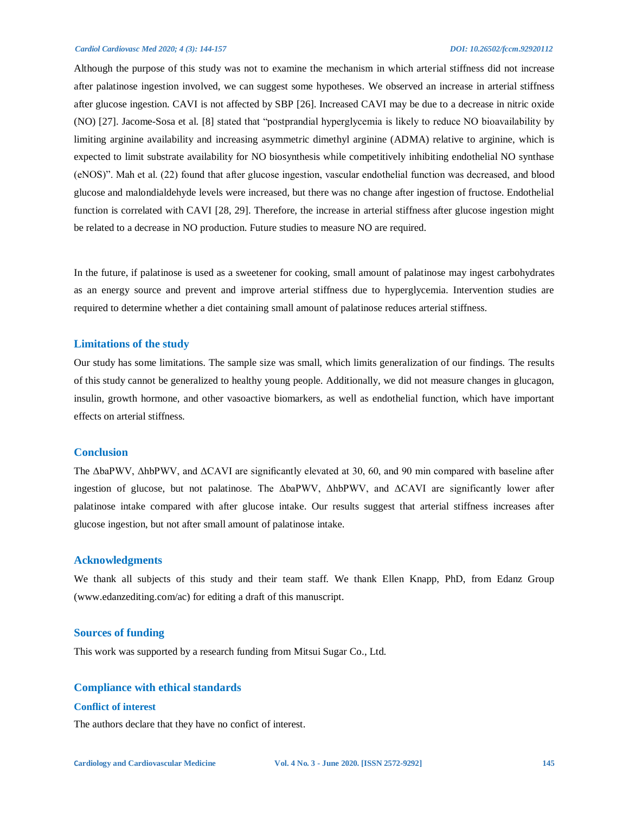#### *Cardiol Cardiovasc Med 2020; 4 (3): 144-157 DOI: 10.26502/fccm.92920112*

Although the purpose of this study was not to examine the mechanism in which arterial stiffness did not increase after palatinose ingestion involved, we can suggest some hypotheses. We observed an increase in arterial stiffness after glucose ingestion. CAVI is not affected by SBP [26]. Increased CAVI may be due to a decrease in nitric oxide (NO) [27]. Jacome-Sosa et al. [8] stated that "postprandial hyperglycemia is likely to reduce NO bioavailability by limiting arginine availability and increasing asymmetric dimethyl arginine (ADMA) relative to arginine, which is expected to limit substrate availability for NO biosynthesis while competitively inhibiting endothelial NO synthase (eNOS)". Mah et al. (22) found that after glucose ingestion, vascular endothelial function was decreased, and blood glucose and malondialdehyde levels were increased, but there was no change after ingestion of fructose. Endothelial function is correlated with CAVI [28, 29]. Therefore, the increase in arterial stiffness after glucose ingestion might be related to a decrease in NO production. Future studies to measure NO are required.

In the future, if palatinose is used as a sweetener for cooking, small amount of palatinose may ingest carbohydrates as an energy source and prevent and improve arterial stiffness due to hyperglycemia. Intervention studies are required to determine whether a diet containing small amount of palatinose reduces arterial stiffness.

#### **Limitations of the study**

Our study has some limitations. The sample size was small, which limits generalization of our findings. The results of this study cannot be generalized to healthy young people. Additionally, we did not measure changes in glucagon, insulin, growth hormone, and other vasoactive biomarkers, as well as endothelial function, which have important effects on arterial stiffness.

#### **Conclusion**

The ΔbaPWV, ΔhbPWV, and ΔCAVI are significantly elevated at 30, 60, and 90 min compared with baseline after ingestion of glucose, but not palatinose. The ΔbaPWV, ΔhbPWV, and ΔCAVI are significantly lower after palatinose intake compared with after glucose intake. Our results suggest that arterial stiffness increases after glucose ingestion, but not after small amount of palatinose intake.

#### **Acknowledgments**

We thank all subjects of this study and their team staff. We thank Ellen Knapp, PhD, from Edanz Group (www.edanzediting.com/ac) for editing a draft of this manuscript.

#### **Sources of funding**

This work was supported by a research funding from Mitsui Sugar Co., Ltd.

### **Compliance with ethical standards**

#### **Conflict of interest**

The authors declare that they have no confict of interest.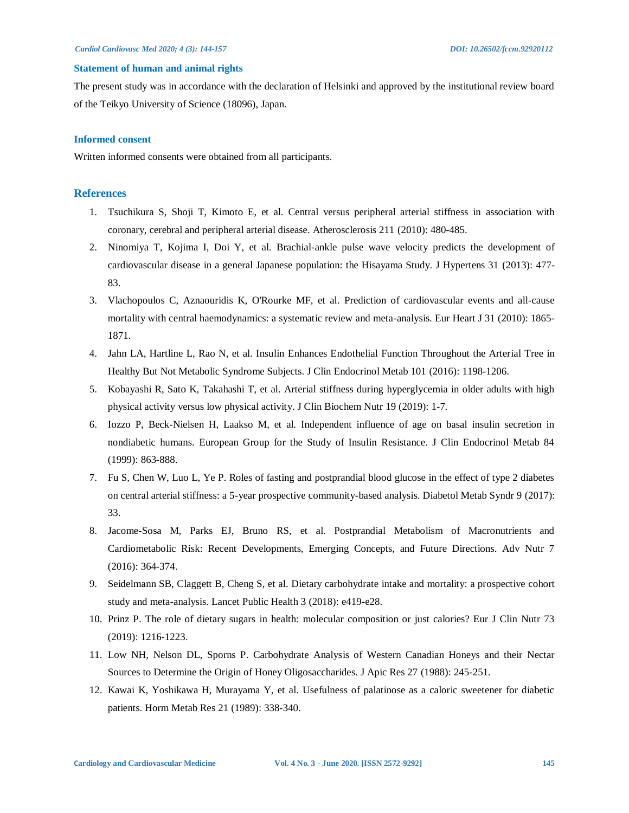#### **Statement of human and animal rights**

The present study was in accordance with the declaration of Helsinki and approved by the institutional review board of the Teikyo University of Science (18096), Japan.

#### **Informed consent**

Written informed consents were obtained from all participants.

#### **References**

- 1. Tsuchikura S, Shoji T, Kimoto E, et al. Central versus peripheral arterial stiffness in association with coronary, cerebral and peripheral arterial disease. Atherosclerosis 211 (2010): 480-485.
- 2. Ninomiya T, Kojima I, Doi Y, et al. Brachial-ankle pulse wave velocity predicts the development of cardiovascular disease in a general Japanese population: the Hisayama Study. J Hypertens 31 (2013): 477- 83.
- 3. Vlachopoulos C, Aznaouridis K, O'Rourke MF, et al. Prediction of cardiovascular events and all-cause mortality with central haemodynamics: a systematic review and meta-analysis. Eur Heart J 31 (2010): 1865- 1871.
- 4. Jahn LA, Hartline L, Rao N, et al. Insulin Enhances Endothelial Function Throughout the Arterial Tree in Healthy But Not Metabolic Syndrome Subjects. J Clin Endocrinol Metab 101 (2016): 1198-1206.
- 5. Kobayashi R, Sato K, Takahashi T, et al. Arterial stiffness during hyperglycemia in older adults with high physical activity versus low physical activity. J Clin Biochem Nutr 19 (2019): 1-7.
- 6. Iozzo P, Beck-Nielsen H, Laakso M, et al. Independent influence of age on basal insulin secretion in nondiabetic humans. European Group for the Study of Insulin Resistance. J Clin Endocrinol Metab 84 (1999): 863-888.
- 7. Fu S, Chen W, Luo L, Ye P. Roles of fasting and postprandial blood glucose in the effect of type 2 diabetes on central arterial stiffness: a 5-year prospective community-based analysis. Diabetol Metab Syndr 9 (2017): 33.
- 8. Jacome-Sosa M, Parks EJ, Bruno RS, et al. Postprandial Metabolism of Macronutrients and Cardiometabolic Risk: Recent Developments, Emerging Concepts, and Future Directions. Adv Nutr 7 (2016): 364-374.
- 9. Seidelmann SB, Claggett B, Cheng S, et al. Dietary carbohydrate intake and mortality: a prospective cohort study and meta-analysis. Lancet Public Health 3 (2018): e419-e28.
- 10. Prinz P. The role of dietary sugars in health: molecular composition or just calories? Eur J Clin Nutr 73 (2019): 1216-1223.
- 11. Low NH, Nelson DL, Sporns P. Carbohydrate Analysis of Western Canadian Honeys and their Nectar Sources to Determine the Origin of Honey Oligosaccharides. J Apic Res 27 (1988): 245-251.
- 12. Kawai K, Yoshikawa H, Murayama Y, et al. Usefulness of palatinose as a caloric sweetener for diabetic patients. Horm Metab Res 21 (1989): 338-340.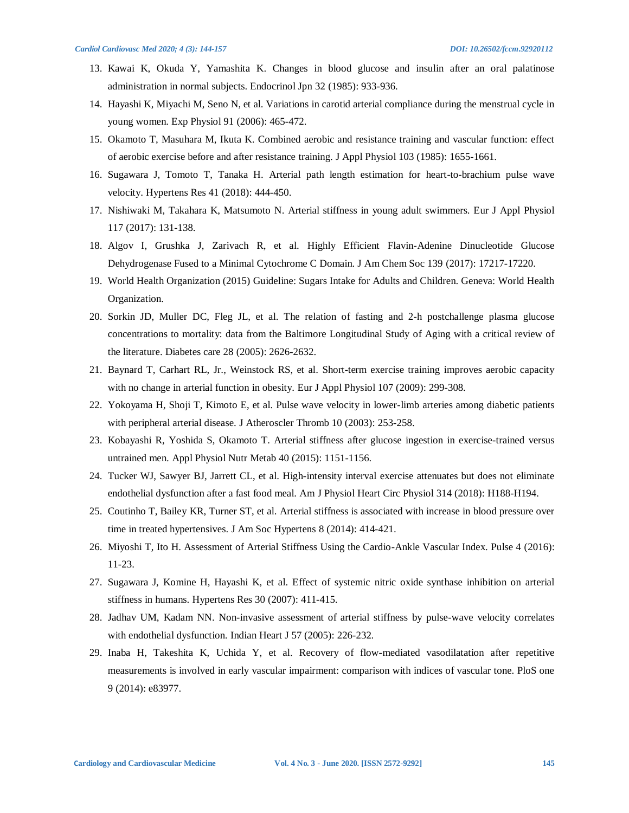- 13. Kawai K, Okuda Y, Yamashita K. Changes in blood glucose and insulin after an oral palatinose administration in normal subjects. Endocrinol Jpn 32 (1985): 933-936.
- 14. Hayashi K, Miyachi M, Seno N, et al. Variations in carotid arterial compliance during the menstrual cycle in young women. Exp Physiol 91 (2006): 465-472.
- 15. Okamoto T, Masuhara M, Ikuta K. Combined aerobic and resistance training and vascular function: effect of aerobic exercise before and after resistance training. J Appl Physiol 103 (1985): 1655-1661.
- 16. Sugawara J, Tomoto T, Tanaka H. Arterial path length estimation for heart-to-brachium pulse wave velocity. Hypertens Res 41 (2018): 444-450.
- 17. Nishiwaki M, Takahara K, Matsumoto N. Arterial stiffness in young adult swimmers. Eur J Appl Physiol 117 (2017): 131-138.
- 18. Algov I, Grushka J, Zarivach R, et al. Highly Efficient Flavin-Adenine Dinucleotide Glucose Dehydrogenase Fused to a Minimal Cytochrome C Domain. J Am Chem Soc 139 (2017): 17217-17220.
- 19. World Health Organization (2015) Guideline: Sugars Intake for Adults and Children. Geneva: World Health Organization.
- 20. Sorkin JD, Muller DC, Fleg JL, et al. The relation of fasting and 2-h postchallenge plasma glucose concentrations to mortality: data from the Baltimore Longitudinal Study of Aging with a critical review of the literature. Diabetes care 28 (2005): 2626-2632.
- 21. Baynard T, Carhart RL, Jr., Weinstock RS, et al. Short-term exercise training improves aerobic capacity with no change in arterial function in obesity. Eur J Appl Physiol 107 (2009): 299-308.
- 22. Yokoyama H, Shoji T, Kimoto E, et al. Pulse wave velocity in lower-limb arteries among diabetic patients with peripheral arterial disease. J Atheroscler Thromb 10 (2003): 253-258.
- 23. Kobayashi R, Yoshida S, Okamoto T. Arterial stiffness after glucose ingestion in exercise-trained versus untrained men. Appl Physiol Nutr Metab 40 (2015): 1151-1156.
- 24. Tucker WJ, Sawyer BJ, Jarrett CL, et al. High-intensity interval exercise attenuates but does not eliminate endothelial dysfunction after a fast food meal. Am J Physiol Heart Circ Physiol 314 (2018): H188-H194.
- 25. Coutinho T, Bailey KR, Turner ST, et al. Arterial stiffness is associated with increase in blood pressure over time in treated hypertensives. J Am Soc Hypertens 8 (2014): 414-421.
- 26. Miyoshi T, Ito H. Assessment of Arterial Stiffness Using the Cardio-Ankle Vascular Index. Pulse 4 (2016): 11-23.
- 27. Sugawara J, Komine H, Hayashi K, et al. Effect of systemic nitric oxide synthase inhibition on arterial stiffness in humans. Hypertens Res 30 (2007): 411-415.
- 28. Jadhav UM, Kadam NN. Non-invasive assessment of arterial stiffness by pulse-wave velocity correlates with endothelial dysfunction. Indian Heart J 57 (2005): 226-232.
- 29. Inaba H, Takeshita K, Uchida Y, et al. Recovery of flow-mediated vasodilatation after repetitive measurements is involved in early vascular impairment: comparison with indices of vascular tone. PloS one 9 (2014): e83977.